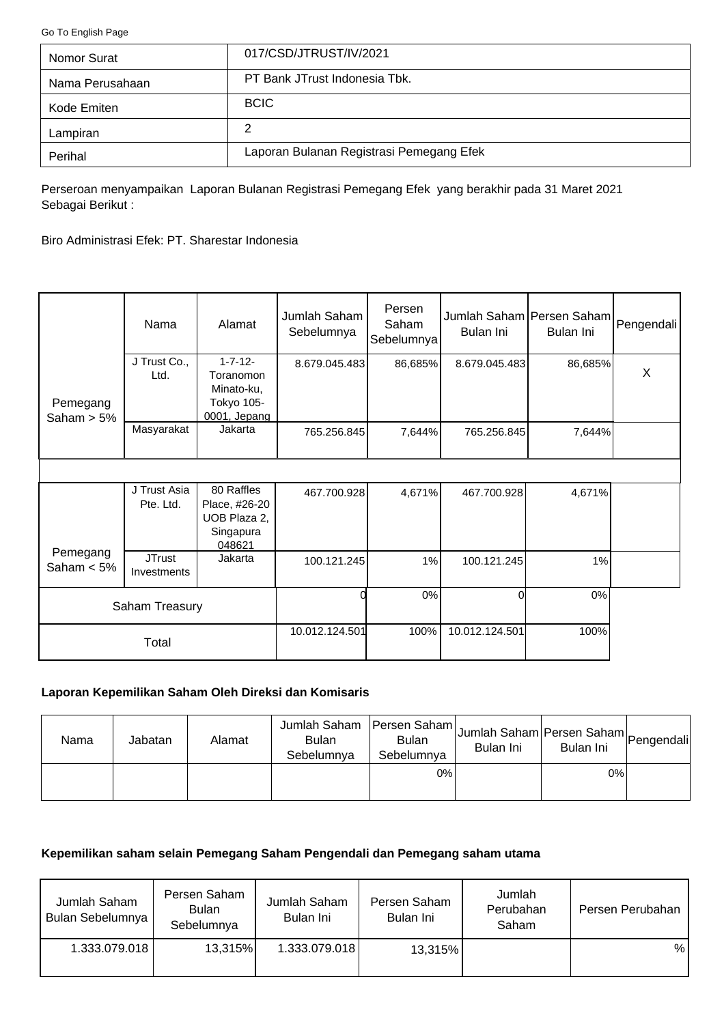<span id="page-0-0"></span>[Go To English Page](#page-2-0)

| Nomor Surat     | 017/CSD/JTRUST/IV/2021                   |
|-----------------|------------------------------------------|
| Nama Perusahaan | PT Bank JTrust Indonesia Tbk.            |
| Kode Emiten     | <b>BCIC</b>                              |
| Lampiran        | 2                                        |
| Perihal         | Laporan Bulanan Registrasi Pemegang Efek |

Perseroan menyampaikan Laporan Bulanan Registrasi Pemegang Efek yang berakhir pada 31 Maret 2021 Sebagai Berikut :

Biro Administrasi Efek: PT. Sharestar Indonesia

|                           | Nama                         | Alamat                                                                  | Jumlah Saham<br>Sebelumnya | Persen<br>Saham<br>Sebelumnya | Jumlah Saham Persen Saham Pengendali<br>Bulan Ini | Bulan Ini |   |
|---------------------------|------------------------------|-------------------------------------------------------------------------|----------------------------|-------------------------------|---------------------------------------------------|-----------|---|
| Pemegang<br>Saham $> 5\%$ | J Trust Co.,<br>Ltd.         | $1 - 7 - 12 -$<br>Toranomon<br>Minato-ku,<br>Tokyo 105-<br>0001, Jepang | 8.679.045.483              | 86,685%                       | 8.679.045.483                                     | 86,685%   | X |
|                           | Masyarakat                   | Jakarta                                                                 | 765.256.845                | 7,644%                        | 765.256.845                                       | 7,644%    |   |
|                           |                              |                                                                         |                            |                               |                                                   |           |   |
|                           | J Trust Asia<br>Pte. Ltd.    | 80 Raffles<br>Place, #26-20<br>UOB Plaza 2,<br>Singapura<br>048621      | 467.700.928                | 4,671%                        | 467.700.928                                       | 4,671%    |   |
| Pemegang<br>Saham $< 5\%$ | <b>JTrust</b><br>Investments | Jakarta                                                                 | 100.121.245                | 1%                            | 100.121.245                                       | 1%        |   |
|                           | Saham Treasury               |                                                                         |                            | 0%                            | Οl                                                | 0%        |   |
|                           | Total                        |                                                                         | 10.012.124.501             | 100%                          | 10.012.124.501                                    | 100%      |   |

# **Laporan Kepemilikan Saham Oleh Direksi dan Komisaris**

| Nama | Jabatan | Alamat | Jumlah Saham   Persen Saham  <br><b>Bulan</b><br>Sebelumnya | <b>Bulan</b><br>Sebelumnya | Jumlah Saham Persen Saham Pengendali<br>Bulan Ini | Bulan Ini |  |
|------|---------|--------|-------------------------------------------------------------|----------------------------|---------------------------------------------------|-----------|--|
|      |         |        |                                                             | 0%                         |                                                   | 0%        |  |

## **Kepemilikan saham selain Pemegang Saham Pengendali dan Pemegang saham utama**

| Jumlah Saham<br>Bulan Sebelumnya | Persen Saham<br><b>Bulan</b><br>Sebelumnya | Jumlah Saham<br>Bulan Ini | Persen Saham<br>Bulan Ini | Jumlah<br>Perubahan<br>Saham | Persen Perubahan |
|----------------------------------|--------------------------------------------|---------------------------|---------------------------|------------------------------|------------------|
| 1.333.079.018                    | 13,315%                                    | 1.333.079.018             | 13,315%                   |                              | %                |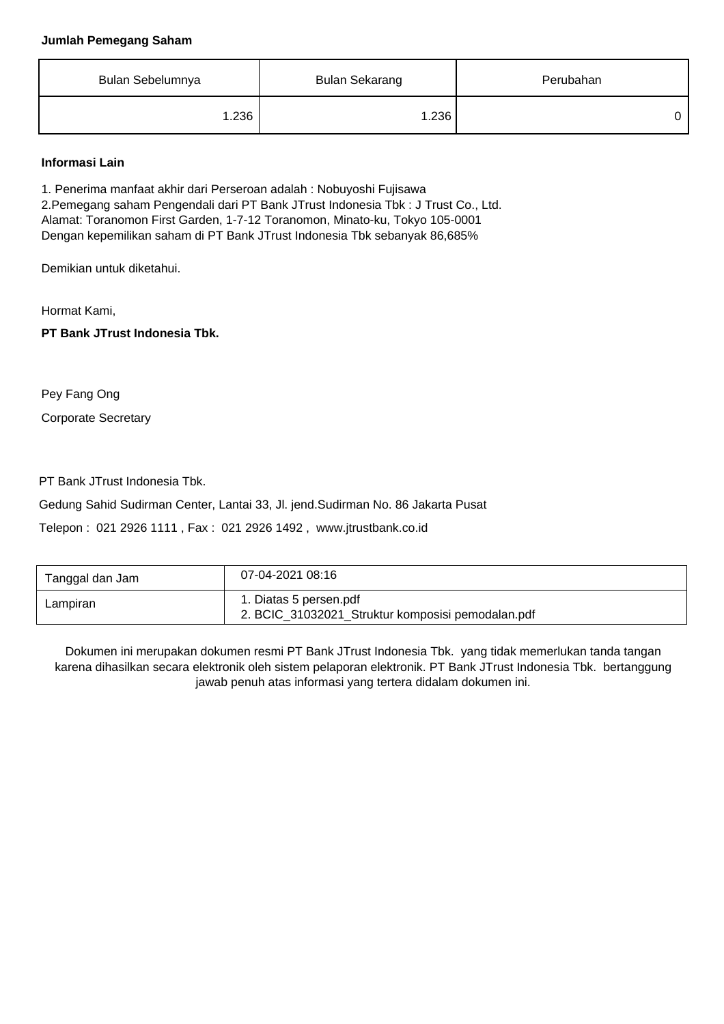#### **Jumlah Pemegang Saham**

| Bulan Sebelumnya | <b>Bulan Sekarang</b> | Perubahan |
|------------------|-----------------------|-----------|
| 1.236            | 1.236                 |           |

#### **Informasi Lain**

1. Penerima manfaat akhir dari Perseroan adalah : Nobuyoshi Fujisawa 2.Pemegang saham Pengendali dari PT Bank JTrust Indonesia Tbk : J Trust Co., Ltd. Alamat: Toranomon First Garden, 1-7-12 Toranomon, Minato-ku, Tokyo 105-0001 Dengan kepemilikan saham di PT Bank JTrust Indonesia Tbk sebanyak 86,685%

Demikian untuk diketahui.

Hormat Kami,

**PT Bank JTrust Indonesia Tbk.**

Corporate Secretary Pey Fang Ong

PT Bank JTrust Indonesia Tbk.

Gedung Sahid Sudirman Center, Lantai 33, Jl. jend.Sudirman No. 86 Jakarta Pusat Telepon : 021 2926 1111 , Fax : 021 2926 1492 , www.jtrustbank.co.id

| Tanggal dan Jam | 07-04-2021 08:16                                                            |
|-----------------|-----------------------------------------------------------------------------|
| Lampiran        | 1. Diatas 5 persen.pdf<br>2. BCIC_31032021_Struktur komposisi pemodalan.pdf |

Dokumen ini merupakan dokumen resmi PT Bank JTrust Indonesia Tbk. yang tidak memerlukan tanda tangan karena dihasilkan secara elektronik oleh sistem pelaporan elektronik. PT Bank JTrust Indonesia Tbk. bertanggung jawab penuh atas informasi yang tertera didalam dokumen ini.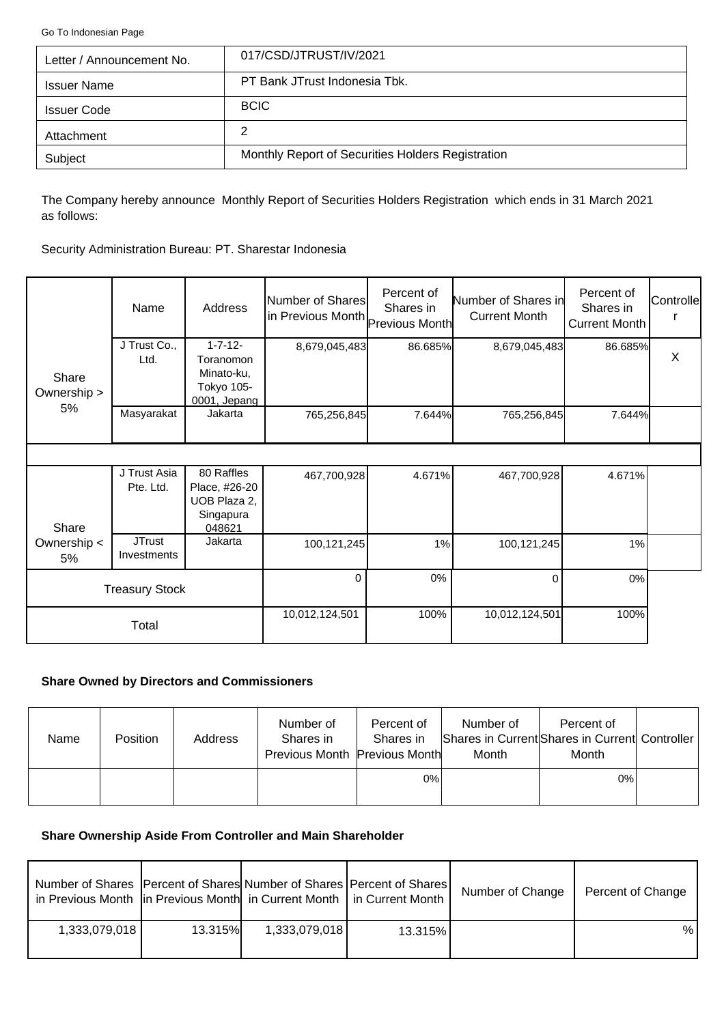<span id="page-2-0"></span>[Go To Indonesian Page](#page-0-0)

| Letter / Announcement No. | 017/CSD/JTRUST/IV/2021                            |
|---------------------------|---------------------------------------------------|
| <b>Issuer Name</b>        | PT Bank JTrust Indonesia Tbk.                     |
| <b>Issuer Code</b>        | <b>BCIC</b>                                       |
| Attachment                | 2                                                 |
| Subject                   | Monthly Report of Securities Holders Registration |

The Company hereby announce Monthly Report of Securities Holders Registration which ends in 31 March 2021 as follows:

Security Administration Bureau: PT. Sharestar Indonesia

|                      | Name                         | Address                                                                 | Number of Shares<br>in Previous Month Previous Month | Percent of<br>Shares in | Number of Shares in<br><b>Current Month</b> | Percent of<br>Shares in<br>Current Month | Controlle |
|----------------------|------------------------------|-------------------------------------------------------------------------|------------------------------------------------------|-------------------------|---------------------------------------------|------------------------------------------|-----------|
| Share<br>Ownership > | J Trust Co.,<br>Ltd.         | $1 - 7 - 12 -$<br>Toranomon<br>Minato-ku,<br>Tokyo 105-<br>0001, Jepang | 8,679,045,483                                        | 86.685%                 | 8,679,045,483                               | 86.685%                                  | X         |
| 5%                   | Masyarakat                   | Jakarta                                                                 | 765,256,845                                          | 7.644%                  | 765,256,845                                 | 7.644%                                   |           |
|                      |                              |                                                                         |                                                      |                         |                                             |                                          |           |
| Share                | J Trust Asia<br>Pte. Ltd.    | 80 Raffles<br>Place, #26-20<br>UOB Plaza 2,<br>Singapura<br>048621      | 467,700,928                                          | 4.671%                  | 467,700,928                                 | 4.671%                                   |           |
| Ownership <<br>5%    | <b>JTrust</b><br>Investments | Jakarta                                                                 | 100,121,245                                          | 1%                      | 100,121,245                                 | 1%                                       |           |
|                      | <b>Treasury Stock</b>        |                                                                         | $\Omega$                                             | $0\%$                   | $\Omega$                                    | $0\%$                                    |           |
|                      | Total                        |                                                                         | 10,012,124,501                                       | 100%                    | 10,012,124,501                              | 100%                                     |           |

## **Share Owned by Directors and Commissioners**

| <b>Name</b> | Position | Address | Number of<br>Shares in<br>Previous Month Previous Month | Percent of<br>Shares in | Number of<br>Month | Percent of<br>Shares in Current Shares in Current Controller<br>Month |  |
|-------------|----------|---------|---------------------------------------------------------|-------------------------|--------------------|-----------------------------------------------------------------------|--|
|             |          |         |                                                         | 0%                      |                    | $0\%$                                                                 |  |

# **Share Ownership Aside From Controller and Main Shareholder**

| Number of Shares   Percent of Shares  Number of Shares   Percent of Shares  <br>in Previous Month   in Previous Month   in Current Month   in Current Month |                |               |         | Number of Change | Percent of Change |
|-------------------------------------------------------------------------------------------------------------------------------------------------------------|----------------|---------------|---------|------------------|-------------------|
| 1,333,079,018                                                                                                                                               | <b>13.315%</b> | 1,333,079,018 | 13.315% |                  | %                 |